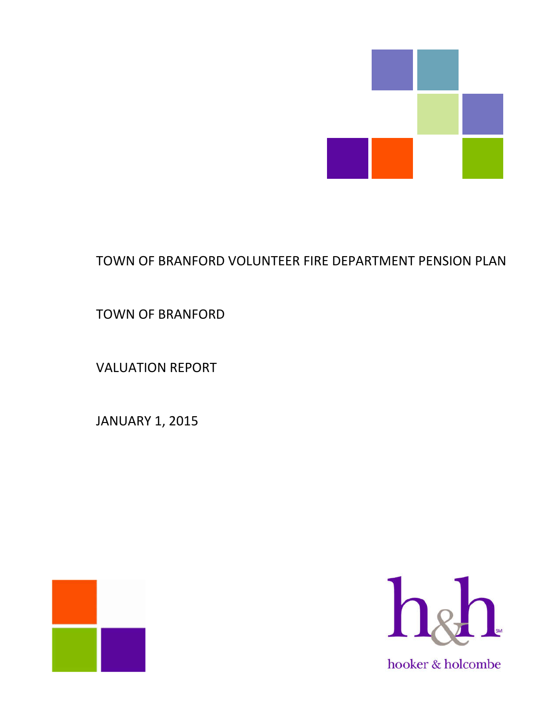

# TOWN OF BRANFORD VOLUNTEER FIRE DEPARTMENT PENSION PLAN

TOWN OF BRANFORD

VALUATION REPORT

JANUARY 1, 2015



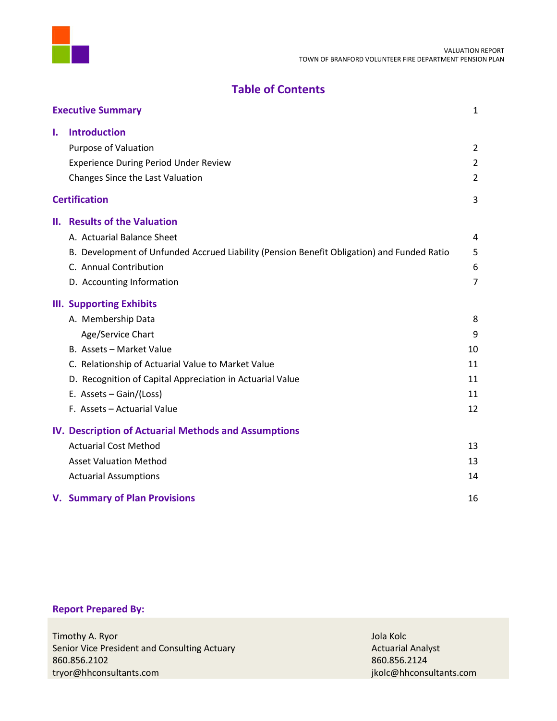

# **Table of Contents**

|    | <b>Executive Summary</b>                                                                   | 1              |
|----|--------------------------------------------------------------------------------------------|----------------|
| Ι. | <b>Introduction</b>                                                                        |                |
|    | Purpose of Valuation                                                                       | $\overline{2}$ |
|    | <b>Experience During Period Under Review</b>                                               | $\overline{2}$ |
|    | Changes Since the Last Valuation                                                           | $\overline{2}$ |
|    | <b>Certification</b>                                                                       | 3              |
|    | <b>II. Results of the Valuation</b>                                                        |                |
|    | A. Actuarial Balance Sheet                                                                 | 4              |
|    | B. Development of Unfunded Accrued Liability (Pension Benefit Obligation) and Funded Ratio | 5              |
|    | C. Annual Contribution                                                                     | 6              |
|    | D. Accounting Information                                                                  | $\overline{7}$ |
|    | <b>III. Supporting Exhibits</b>                                                            |                |
|    | A. Membership Data                                                                         | 8              |
|    | Age/Service Chart                                                                          | 9              |
|    | B. Assets - Market Value                                                                   | 10             |
|    | C. Relationship of Actuarial Value to Market Value                                         | 11             |
|    | D. Recognition of Capital Appreciation in Actuarial Value                                  | 11             |
|    | E. Assets - Gain/(Loss)                                                                    | 11             |
|    | F. Assets - Actuarial Value                                                                | 12             |
|    | <b>IV. Description of Actuarial Methods and Assumptions</b>                                |                |
|    | <b>Actuarial Cost Method</b>                                                               | 13             |
|    | <b>Asset Valuation Method</b>                                                              | 13             |
|    | <b>Actuarial Assumptions</b>                                                               | 14             |
|    | <b>V. Summary of Plan Provisions</b>                                                       | 16             |

# **Report Prepared By:**

| Timothy A. Ryor                              | Jola Kolc                |
|----------------------------------------------|--------------------------|
| Senior Vice President and Consulting Actuary | <b>Actuarial Analyst</b> |
| 860.856.2102                                 | 860.856.2124             |
| tryor@hhconsultants.com                      | jkolc@hhconsultants.com  |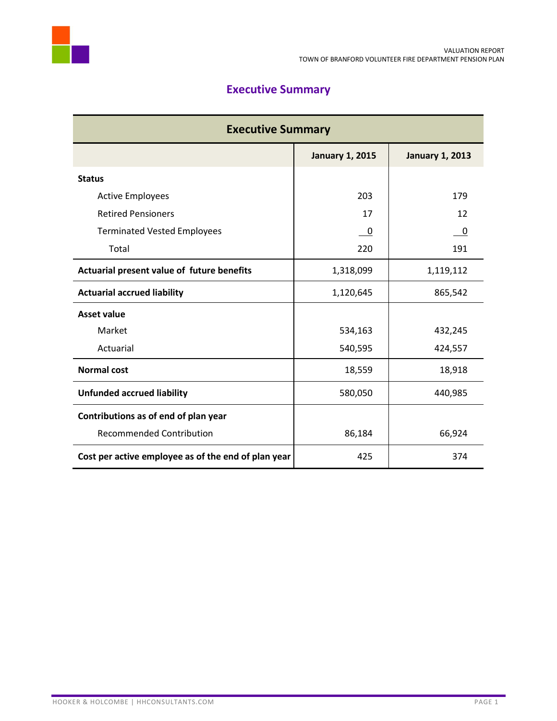

# **Executive Summary**

| <b>Executive Summary</b>                            |                        |                        |  |  |  |  |  |  |
|-----------------------------------------------------|------------------------|------------------------|--|--|--|--|--|--|
|                                                     | <b>January 1, 2015</b> | <b>January 1, 2013</b> |  |  |  |  |  |  |
| <b>Status</b>                                       |                        |                        |  |  |  |  |  |  |
| <b>Active Employees</b>                             | 203                    | 179                    |  |  |  |  |  |  |
| <b>Retired Pensioners</b>                           | 17                     | 12                     |  |  |  |  |  |  |
| <b>Terminated Vested Employees</b>                  | 0                      | 0                      |  |  |  |  |  |  |
| Total                                               | 220                    | 191                    |  |  |  |  |  |  |
| Actuarial present value of future benefits          | 1,318,099              | 1,119,112              |  |  |  |  |  |  |
| <b>Actuarial accrued liability</b>                  | 1,120,645              | 865,542                |  |  |  |  |  |  |
| <b>Asset value</b>                                  |                        |                        |  |  |  |  |  |  |
| Market                                              | 534,163                | 432,245                |  |  |  |  |  |  |
| Actuarial                                           | 540,595                | 424,557                |  |  |  |  |  |  |
| <b>Normal cost</b>                                  | 18,559                 | 18,918                 |  |  |  |  |  |  |
| <b>Unfunded accrued liability</b>                   | 580,050                | 440,985                |  |  |  |  |  |  |
| Contributions as of end of plan year                |                        |                        |  |  |  |  |  |  |
| <b>Recommended Contribution</b>                     | 86,184                 | 66,924                 |  |  |  |  |  |  |
| Cost per active employee as of the end of plan year | 425                    | 374                    |  |  |  |  |  |  |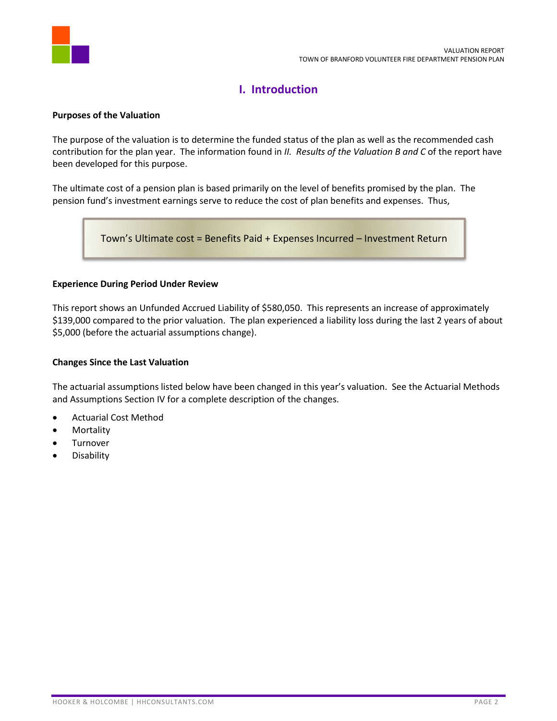

# **I. Introduction**

### **Purposes of the Valuation**

The purpose of the valuation is to determine the funded status of the plan as well as the recommended cash contribution for the plan year. The information found in *II. Results of the Valuation B and C* of the report have been developed for this purpose.

The ultimate cost of a pension plan is based primarily on the level of benefits promised by the plan. The pension fund's investment earnings serve to reduce the cost of plan benefits and expenses. Thus,

Town's Ultimate cost = Benefits Paid + Expenses Incurred – Investment Return

### **Experience During Period Under Review**

This report shows an Unfunded Accrued Liability of \$580,050. This represents an increase of approximately \$139,000 compared to the prior valuation. The plan experienced a liability loss during the last 2 years of about \$5,000 (before the actuarial assumptions change).

### **Changes Since the Last Valuation**

The actuarial assumptions listed below have been changed in this year's valuation. See the Actuarial Methods and Assumptions Section IV for a complete description of the changes.

- Actuarial Cost Method
- Mortality
- **•** Turnover
- **•** Disability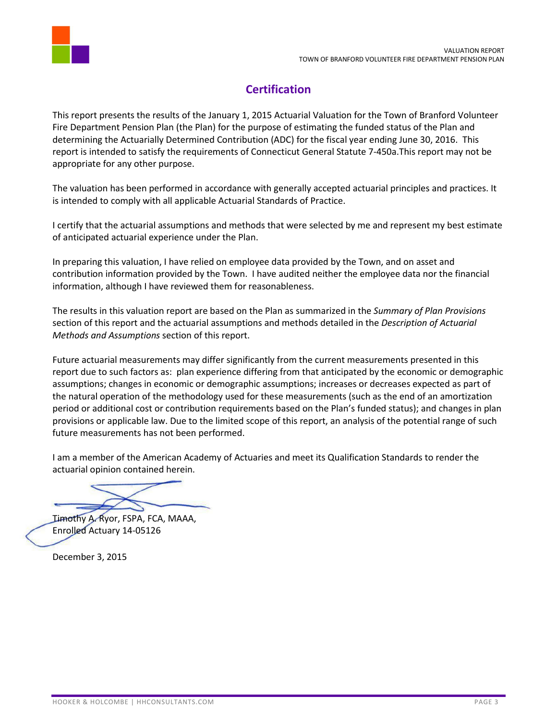

# **Certification**

This report presents the results of the January 1, 2015 Actuarial Valuation for the Town of Branford Volunteer Fire Department Pension Plan (the Plan) for the purpose of estimating the funded status of the Plan and determining the Actuarially Determined Contribution (ADC) for the fiscal year ending June 30, 2016. This report is intended to satisfy the requirements of Connecticut General Statute 7-450a.This report may not be appropriate for any other purpose.

The valuation has been performed in accordance with generally accepted actuarial principles and practices. It is intended to comply with all applicable Actuarial Standards of Practice.

I certify that the actuarial assumptions and methods that were selected by me and represent my best estimate of anticipated actuarial experience under the Plan.

In preparing this valuation, I have relied on employee data provided by the Town, and on asset and contribution information provided by the Town. I have audited neither the employee data nor the financial information, although I have reviewed them for reasonableness.

The results in this valuation report are based on the Plan as summarized in the *Summary of Plan Provisions* section of this report and the actuarial assumptions and methods detailed in the *Description of Actuarial Methods and Assumptions* section of this report.

Future actuarial measurements may differ significantly from the current measurements presented in this report due to such factors as: plan experience differing from that anticipated by the economic or demographic assumptions; changes in economic or demographic assumptions; increases or decreases expected as part of the natural operation of the methodology used for these measurements (such as the end of an amortization period or additional cost or contribution requirements based on the Plan's funded status); and changes in plan provisions or applicable law. Due to the limited scope of this report, an analysis of the potential range of such future measurements has not been performed.

I am a member of the American Academy of Actuaries and meet its Qualification Standards to render the actuarial opinion contained herein.

Timothy A. Ryor, FSPA, FCA, MAAA, Enrolled Actuary 14-05126

December 3, 2015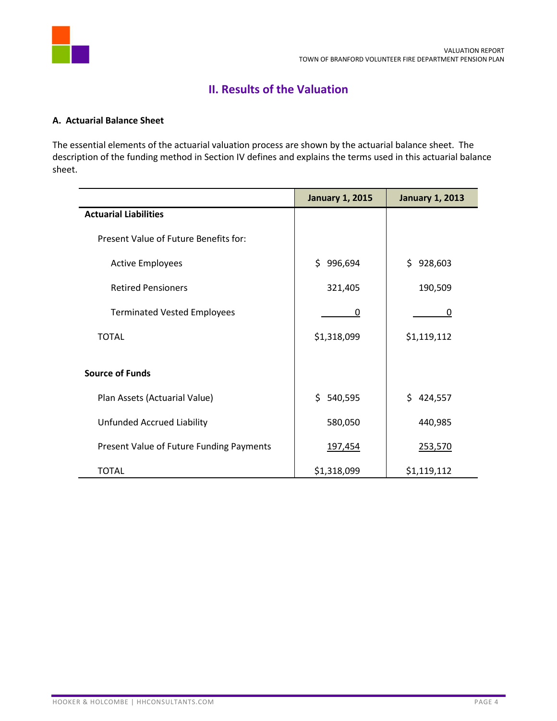

# **II. Results of the Valuation**

## **A. Actuarial Balance Sheet**

The essential elements of the actuarial valuation process are shown by the actuarial balance sheet. The description of the funding method in Section IV defines and explains the terms used in this actuarial balance sheet.

|                                          | <b>January 1, 2015</b> | <b>January 1, 2013</b> |
|------------------------------------------|------------------------|------------------------|
| <b>Actuarial Liabilities</b>             |                        |                        |
| Present Value of Future Benefits for:    |                        |                        |
| <b>Active Employees</b>                  | \$.<br>996,694         | \$928,603              |
| <b>Retired Pensioners</b>                | 321,405                | 190,509                |
| <b>Terminated Vested Employees</b>       | 0                      | 0                      |
| <b>TOTAL</b>                             | \$1,318,099            | \$1,119,112            |
|                                          |                        |                        |
| <b>Source of Funds</b>                   |                        |                        |
| Plan Assets (Actuarial Value)            | \$.<br>540,595         | \$424,557              |
| Unfunded Accrued Liability               | 580,050                | 440,985                |
| Present Value of Future Funding Payments | 197,454                | 253,570                |
| <b>TOTAL</b>                             | \$1,318,099            | \$1,119,112            |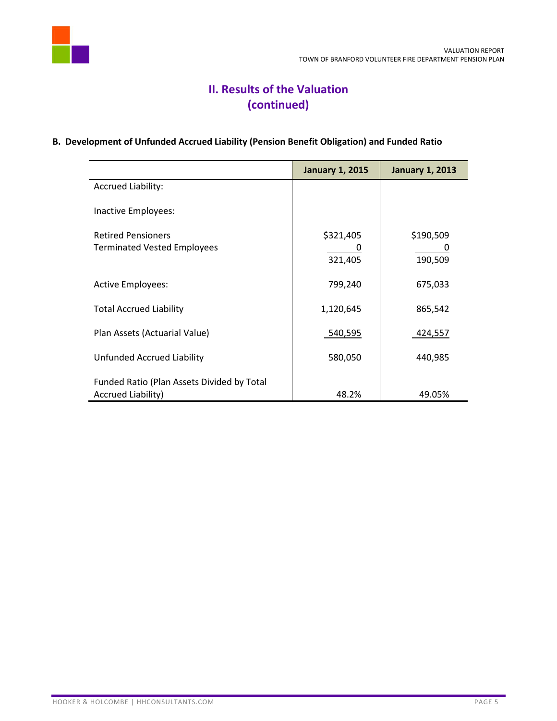

# **II. Results of the Valuation (continued)**

# **B. Development of Unfunded Accrued Liability (Pension Benefit Obligation) and Funded Ratio**

|                                                                  | <b>January 1, 2015</b> | <b>January 1, 2013</b> |
|------------------------------------------------------------------|------------------------|------------------------|
| <b>Accrued Liability:</b>                                        |                        |                        |
| Inactive Employees:                                              |                        |                        |
| <b>Retired Pensioners</b>                                        | \$321,405              | \$190,509              |
| <b>Terminated Vested Employees</b>                               | 321,405                | 190,509                |
| <b>Active Employees:</b>                                         | 799,240                | 675,033                |
| <b>Total Accrued Liability</b>                                   | 1,120,645              | 865,542                |
| Plan Assets (Actuarial Value)                                    | 540,595                | 424,557                |
| Unfunded Accrued Liability                                       | 580,050                | 440,985                |
| Funded Ratio (Plan Assets Divided by Total<br>Accrued Liability) | 48.2%                  | 49.05%                 |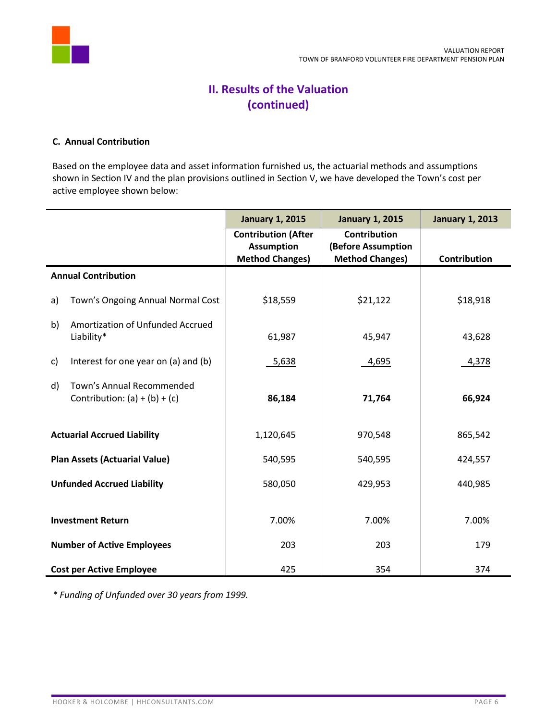

# **II. Results of the Valuation (continued)**

## **C. Annual Contribution**

Based on the employee data and asset information furnished us, the actuarial methods and assumptions shown in Section IV and the plan provisions outlined in Section V, we have developed the Town's cost per active employee shown below:

|                                                                    | <b>January 1, 2015</b>                          | <b>January 1, 2015</b>                    | <b>January 1, 2013</b> |
|--------------------------------------------------------------------|-------------------------------------------------|-------------------------------------------|------------------------|
|                                                                    | <b>Contribution (After</b><br><b>Assumption</b> | <b>Contribution</b><br>(Before Assumption |                        |
|                                                                    | <b>Method Changes)</b>                          | <b>Method Changes)</b>                    | Contribution           |
| <b>Annual Contribution</b>                                         |                                                 |                                           |                        |
| Town's Ongoing Annual Normal Cost<br>a)                            | \$18,559                                        | \$21,122                                  | \$18,918               |
| Amortization of Unfunded Accrued<br>b)<br>Liability*               | 61,987                                          | 45,947                                    | 43,628                 |
| Interest for one year on (a) and (b)<br>c)                         | 5,638                                           | 4,695                                     | 4,378                  |
| Town's Annual Recommended<br>d)<br>Contribution: $(a) + (b) + (c)$ | 86,184                                          | 71,764                                    | 66,924                 |
| <b>Actuarial Accrued Liability</b>                                 | 1,120,645                                       | 970,548                                   | 865,542                |
| <b>Plan Assets (Actuarial Value)</b>                               | 540,595                                         | 540,595                                   | 424,557                |
| <b>Unfunded Accrued Liability</b>                                  | 580,050                                         | 429,953                                   | 440,985                |
| <b>Investment Return</b>                                           | 7.00%                                           | 7.00%                                     | 7.00%                  |
| <b>Number of Active Employees</b>                                  | 203                                             | 203                                       | 179                    |
| <b>Cost per Active Employee</b>                                    | 425                                             | 354                                       | 374                    |

*\* Funding of Unfunded over 30 years from 1999.*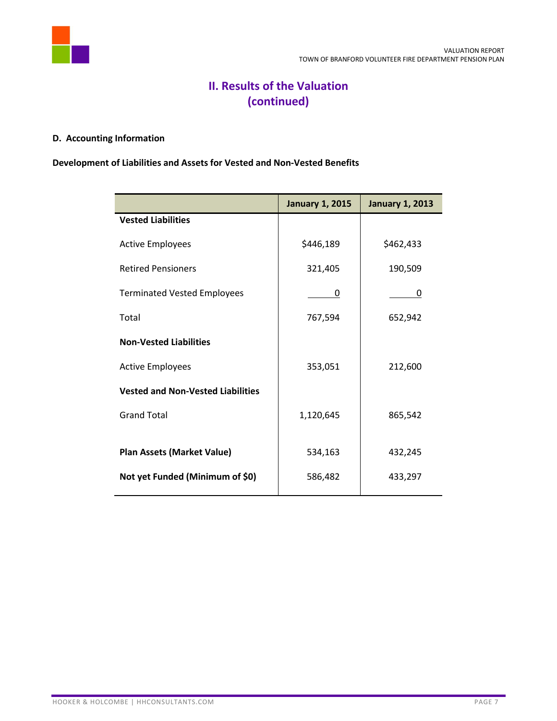

# **II. Results of the Valuation (continued)**

# **D. Accounting Information**

# **Development of Liabilities and Assets for Vested and Non-Vested Benefits**

|                                          | <b>January 1, 2015</b> | <b>January 1, 2013</b> |
|------------------------------------------|------------------------|------------------------|
| <b>Vested Liabilities</b>                |                        |                        |
| <b>Active Employees</b>                  | \$446,189              | \$462,433              |
| <b>Retired Pensioners</b>                | 321,405                | 190,509                |
| <b>Terminated Vested Employees</b>       | 0                      | 0                      |
| Total                                    | 767,594                | 652,942                |
| <b>Non-Vested Liabilities</b>            |                        |                        |
| <b>Active Employees</b>                  | 353,051                | 212,600                |
| <b>Vested and Non-Vested Liabilities</b> |                        |                        |
| <b>Grand Total</b>                       | 1,120,645              | 865,542                |
|                                          |                        |                        |
| <b>Plan Assets (Market Value)</b>        | 534,163                | 432,245                |
| Not yet Funded (Minimum of \$0)          | 586,482                | 433,297                |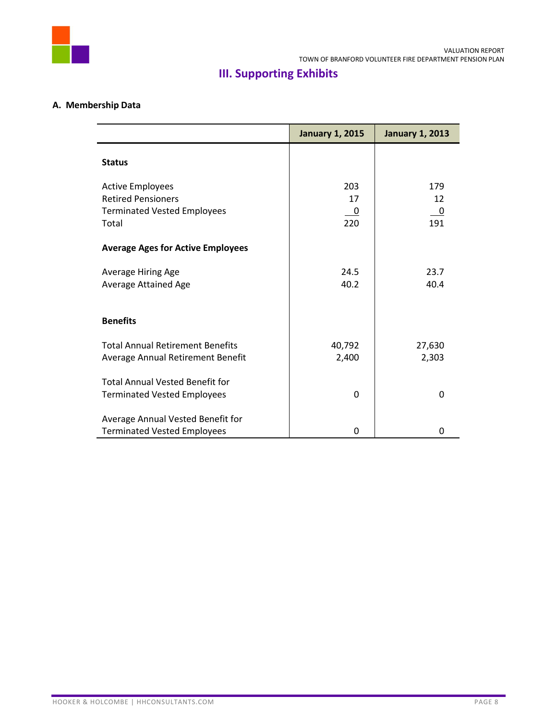

# **III. Supporting Exhibits**

# **A. Membership Data**

|                                          | <b>January 1, 2015</b>   | <b>January 1, 2013</b> |
|------------------------------------------|--------------------------|------------------------|
| <b>Status</b>                            |                          |                        |
| <b>Active Employees</b>                  | 203                      | 179                    |
| <b>Retired Pensioners</b>                | 17                       | 12                     |
| <b>Terminated Vested Employees</b>       | $\overline{\phantom{0}}$ | <u>_0</u>              |
| Total                                    | 220                      | 191                    |
| <b>Average Ages for Active Employees</b> |                          |                        |
| Average Hiring Age                       | 24.5                     | 23.7                   |
| Average Attained Age                     | 40.2                     | 40.4                   |
| <b>Benefits</b>                          |                          |                        |
| <b>Total Annual Retirement Benefits</b>  | 40,792                   | 27,630                 |
| Average Annual Retirement Benefit        | 2,400                    | 2,303                  |
| <b>Total Annual Vested Benefit for</b>   |                          |                        |
| <b>Terminated Vested Employees</b>       | 0                        | $\Omega$               |
| Average Annual Vested Benefit for        |                          |                        |
| <b>Terminated Vested Employees</b>       | 0                        | 0                      |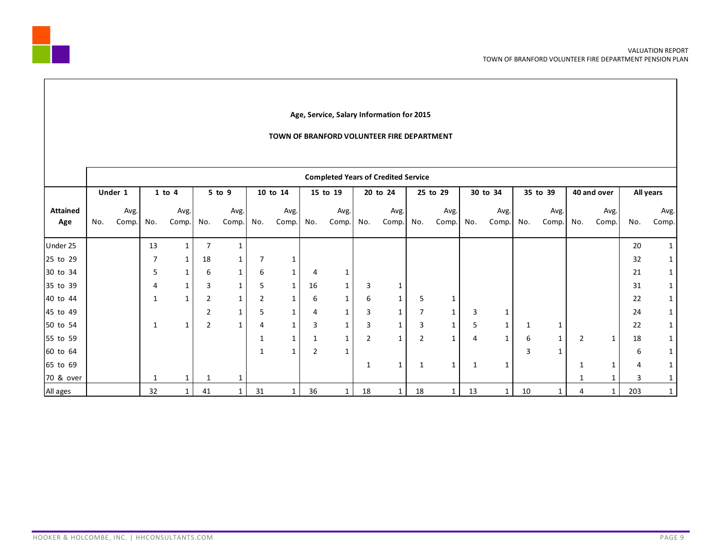

#### **Age, Service, Salary Information for 2015**

#### **TOWN OF BRANFORD VOLUNTEER FIRE DEPARTMENT**

|                        | <b>Completed Years of Credited Service</b> |               |              |               |                |               |     |               |               |               |                |               |                |               |     |               |     |               |                |               |     |               |
|------------------------|--------------------------------------------|---------------|--------------|---------------|----------------|---------------|-----|---------------|---------------|---------------|----------------|---------------|----------------|---------------|-----|---------------|-----|---------------|----------------|---------------|-----|---------------|
|                        |                                            | Under 1       |              | $1$ to $4$    |                | $5$ to $9$    |     | 10 to 14      |               | 15 to 19      |                | 20 to 24      |                | 25 to 29      |     | 30 to 34      |     | 35 to 39      |                | 40 and over   |     | All years     |
| <b>Attained</b><br>Age | No.                                        | Avg.<br>Comp. | No.          | Avg.<br>Comp. | No.            | Avg.<br>Comp. | No. | Avg.<br>Comp. | No.           | Avg.<br>Comp. | No.            | Avg.<br>Comp. | No.            | Avg.<br>Comp. | No. | Avg.<br>Comp. | No. | Avg.<br>Comp. | No.            | Avg.<br>Comp. | No. | Avg.<br>Comp. |
| Under 25               |                                            |               | 13           |               | 7              |               |     |               |               |               |                |               |                |               |     |               |     |               |                |               | 20  |               |
| 25 to 29               |                                            |               | 7            | 1             | 18             | 1             |     |               |               |               |                |               |                |               |     |               |     |               |                |               | 32  |               |
| 30 to 34               |                                            |               | 5            | $\mathbf{1}$  | 6              | 1             | 6   | 1             | 4             |               |                |               |                |               |     |               |     |               |                |               | 21  |               |
| 35 to 39               |                                            |               | 4            | $\mathbf{1}$  | 3              | $\mathbf{1}$  | 5   | $\mathbf{1}$  | 16            | $\mathbf{1}$  | 3              |               |                |               |     |               |     |               |                |               | 31  |               |
| 40 to 44               |                                            |               | $\mathbf{1}$ | $\mathbf{1}$  | $\overline{2}$ | $\mathbf{1}$  |     |               | 6             |               | 6              |               | 5              |               |     |               |     |               |                |               | 22  |               |
| 45 to 49               |                                            |               |              |               | $\overline{2}$ | $\mathbf{1}$  | 5   | 1             | 4             | 1             | 3              | 1             | 7              |               | 3   |               |     |               |                |               | 24  |               |
| 50 to 54               |                                            |               |              | 1             | $\overline{2}$ | -1            | 4   | 1             | 3             | 1             | 3              | 1             | 3              | 1             | 5   | 1             |     |               |                |               | 22  | 1             |
| 55 to 59               |                                            |               |              |               |                |               |     |               |               | 1             | $\overline{2}$ | 1             | $\overline{2}$ | $\mathbf{1}$  | 4   | 1             | 6   | 1             | $\overline{2}$ | 1             | 18  |               |
| 60 to 64               |                                            |               |              |               |                |               |     |               | $\mathcal{P}$ |               |                |               |                |               |     |               | 3   |               |                |               | 6   |               |
| 65 to 69               |                                            |               |              |               |                |               |     |               |               |               |                | 1             | 1              | $\mathbf{1}$  |     | 1             |     |               |                |               | 4   |               |
| 70 & over              |                                            |               | 1            |               | 1              |               |     |               |               |               |                |               |                |               |     |               |     |               |                |               | 3   |               |
| All ages               |                                            |               | 32           |               | 41             |               | 31  |               | 36            | 1             | 18             |               | 18             | 1             | 13  | 1             | 10  |               | 4              |               | 203 | $\mathbf{1}$  |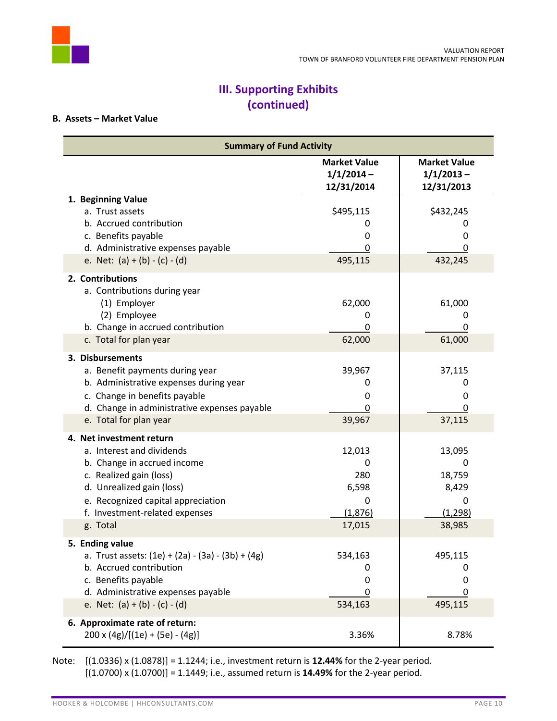

# **III. Supporting Exhibits (continued)**

## **B. Assets – Market Value**

| <b>Summary of Fund Activity</b>                     |                                                   |                                                   |  |  |  |  |  |
|-----------------------------------------------------|---------------------------------------------------|---------------------------------------------------|--|--|--|--|--|
|                                                     | <b>Market Value</b><br>$1/1/2014 -$<br>12/31/2014 | <b>Market Value</b><br>$1/1/2013 -$<br>12/31/2013 |  |  |  |  |  |
| 1. Beginning Value                                  |                                                   |                                                   |  |  |  |  |  |
| a. Trust assets                                     | \$495,115                                         | \$432,245                                         |  |  |  |  |  |
| b. Accrued contribution                             | 0                                                 | 0                                                 |  |  |  |  |  |
| c. Benefits payable                                 | 0                                                 | 0                                                 |  |  |  |  |  |
| d. Administrative expenses payable                  | 0                                                 | 0                                                 |  |  |  |  |  |
| e. Net: $(a) + (b) - (c) - (d)$                     | 495,115                                           | 432,245                                           |  |  |  |  |  |
| 2. Contributions<br>a. Contributions during year    |                                                   |                                                   |  |  |  |  |  |
| (1) Employer                                        | 62,000                                            | 61,000                                            |  |  |  |  |  |
| (2) Employee<br>b. Change in accrued contribution   | 0                                                 | 0                                                 |  |  |  |  |  |
| c. Total for plan year                              | 0<br>62,000                                       | 0<br>61,000                                       |  |  |  |  |  |
|                                                     |                                                   |                                                   |  |  |  |  |  |
| 3. Disbursements                                    |                                                   |                                                   |  |  |  |  |  |
| a. Benefit payments during year                     | 39,967                                            | 37,115                                            |  |  |  |  |  |
| b. Administrative expenses during year              | 0                                                 | 0                                                 |  |  |  |  |  |
| c. Change in benefits payable                       | 0                                                 | 0                                                 |  |  |  |  |  |
| d. Change in administrative expenses payable        | 0                                                 | 0                                                 |  |  |  |  |  |
| e. Total for plan year                              | 39,967                                            | 37,115                                            |  |  |  |  |  |
| 4. Net investment return                            |                                                   |                                                   |  |  |  |  |  |
| a. Interest and dividends                           | 12,013                                            | 13,095                                            |  |  |  |  |  |
| b. Change in accrued income                         | $\Omega$                                          | 0                                                 |  |  |  |  |  |
| c. Realized gain (loss)                             | 280                                               | 18,759                                            |  |  |  |  |  |
| d. Unrealized gain (loss)                           | 6,598                                             | 8,429                                             |  |  |  |  |  |
| e. Recognized capital appreciation                  | 0                                                 | 0                                                 |  |  |  |  |  |
| f. Investment-related expenses                      | (1,876)                                           | (1, 298)                                          |  |  |  |  |  |
| g. Total                                            | 17,015                                            | 38,985                                            |  |  |  |  |  |
| <b>Ending value</b>                                 |                                                   |                                                   |  |  |  |  |  |
| a. Trust assets: $(1e) + (2a) - (3a) - (3b) + (4g)$ | 534,163                                           | 495,115                                           |  |  |  |  |  |
| b. Accrued contribution                             | 0                                                 | 0                                                 |  |  |  |  |  |
| c. Benefits payable                                 | 0                                                 | 0                                                 |  |  |  |  |  |
| d. Administrative expenses payable                  | 0                                                 | 0                                                 |  |  |  |  |  |
| e. Net: $(a) + (b) - (c) - (d)$                     | 534,163                                           | 495,115                                           |  |  |  |  |  |
| 6. Approximate rate of return:                      |                                                   |                                                   |  |  |  |  |  |
| $200 \times (4g)/[(1e) + (5e) - (4g)]$              | 3.36%                                             | 8.78%                                             |  |  |  |  |  |

Note: [(1.0336) x (1.0878)] = 1.1244; i.e., investment return is **12.44%** for the 2-year period. [(1.0700) x (1.0700)] = 1.1449; i.e., assumed return is **14.49%** for the 2-year period.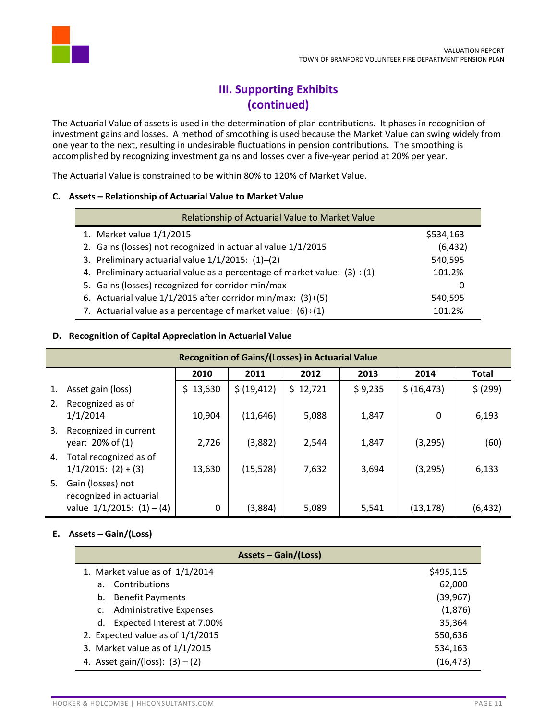

# **III. Supporting Exhibits (continued)**

The Actuarial Value of assets is used in the determination of plan contributions. It phases in recognition of investment gains and losses. A method of smoothing is used because the Market Value can swing widely from one year to the next, resulting in undesirable fluctuations in pension contributions. The smoothing is accomplished by recognizing investment gains and losses over a five-year period at 20% per year.

The Actuarial Value is constrained to be within 80% to 120% of Market Value.

## **C. Assets – Relationship of Actuarial Value to Market Value**

| Relationship of Actuarial Value to Market Value                                |           |  |  |  |  |  |  |  |
|--------------------------------------------------------------------------------|-----------|--|--|--|--|--|--|--|
| 1. Market value 1/1/2015                                                       | \$534,163 |  |  |  |  |  |  |  |
| 2. Gains (losses) not recognized in actuarial value 1/1/2015                   | (6, 432)  |  |  |  |  |  |  |  |
| 3. Preliminary actuarial value 1/1/2015: (1)-(2)                               | 540,595   |  |  |  |  |  |  |  |
| 4. Preliminary actuarial value as a percentage of market value: $(3) \div (1)$ | 101.2%    |  |  |  |  |  |  |  |
| 5. Gains (losses) recognized for corridor min/max                              |           |  |  |  |  |  |  |  |
| 6. Actuarial value 1/1/2015 after corridor min/max: (3)+(5)                    | 540,595   |  |  |  |  |  |  |  |
| 7. Actuarial value as a percentage of market value: $(6)+(1)$                  | 101.2%    |  |  |  |  |  |  |  |

## **D. Recognition of Capital Appreciation in Actuarial Value**

|    | <b>Recognition of Gains/(Losses) in Actuarial Value</b>                        |          |              |          |         |              |          |  |  |  |  |  |  |  |
|----|--------------------------------------------------------------------------------|----------|--------------|----------|---------|--------------|----------|--|--|--|--|--|--|--|
|    | 2010<br>2012<br>2013<br>2014<br>2011<br><b>Total</b>                           |          |              |          |         |              |          |  |  |  |  |  |  |  |
| 1. | Asset gain (loss)                                                              | \$13,630 | \$ (19, 412) | \$12,721 | \$9,235 | \$ (16, 473) | \$ (299) |  |  |  |  |  |  |  |
| 2. | Recognized as of<br>1/1/2014                                                   | 10,904   | (11, 646)    | 5,088    | 1,847   | $\Omega$     | 6,193    |  |  |  |  |  |  |  |
| 3. | Recognized in current<br>year: 20% of (1)                                      | 2,726    | (3,882)      | 2,544    | 1,847   | (3, 295)     | (60)     |  |  |  |  |  |  |  |
| 4. | Total recognized as of<br>$1/1/2015$ : $(2) + (3)$                             | 13,630   | (15, 528)    | 7,632    | 3,694   | (3, 295)     | 6,133    |  |  |  |  |  |  |  |
| 5. | Gain (losses) not<br>recognized in actuarial<br>value $1/1/2015$ : $(1) - (4)$ | $\Omega$ | (3,884)      | 5,089    | 5,541   | (13, 178)    | (6, 432) |  |  |  |  |  |  |  |

## **E. Assets – Gain/(Loss)**

| <b>Assets - Gain/(Loss)</b>          |           |
|--------------------------------------|-----------|
| 1. Market value as of $1/1/2014$     | \$495,115 |
| Contributions<br>a.                  | 62,000    |
| <b>Benefit Payments</b><br>b.        | (39, 967) |
| <b>Administrative Expenses</b><br>C. | (1,876)   |
| Expected Interest at 7.00%<br>d.     | 35,364    |
| 2. Expected value as of $1/1/2015$   | 550,636   |
| 3. Market value as of $1/1/2015$     | 534,163   |
| 4. Asset gain/(loss): $(3) - (2)$    | (16, 473) |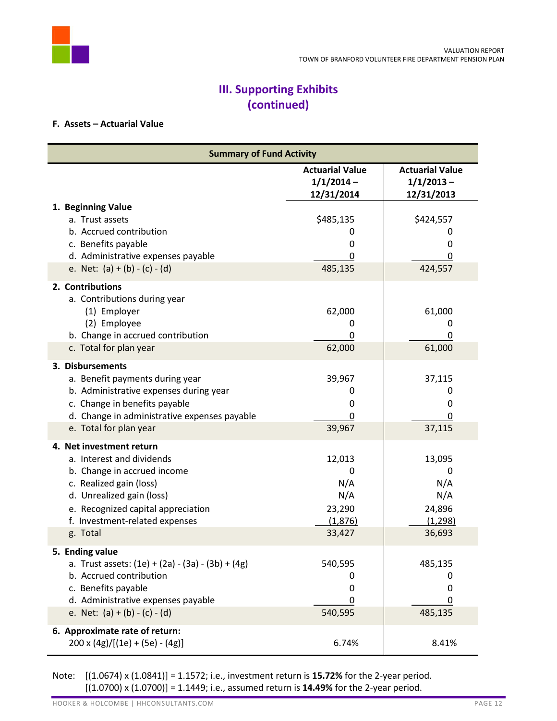

# **III. Supporting Exhibits (continued)**

### **F. Assets – Actuarial Value**

| <b>Summary of Fund Activity</b> |                                                     |                                                      |                                                      |
|---------------------------------|-----------------------------------------------------|------------------------------------------------------|------------------------------------------------------|
|                                 |                                                     | <b>Actuarial Value</b><br>$1/1/2014 -$<br>12/31/2014 | <b>Actuarial Value</b><br>$1/1/2013 -$<br>12/31/2013 |
|                                 | 1. Beginning Value                                  |                                                      |                                                      |
|                                 | a. Trust assets                                     | \$485,135                                            | \$424,557                                            |
|                                 | b. Accrued contribution                             | 0                                                    | 0                                                    |
|                                 | c. Benefits payable                                 | 0                                                    | 0                                                    |
|                                 | d. Administrative expenses payable                  | 0                                                    | 0                                                    |
|                                 | e. Net: $(a) + (b) - (c) - (d)$                     | 485,135                                              | 424,557                                              |
|                                 | 2. Contributions                                    |                                                      |                                                      |
|                                 | a. Contributions during year                        |                                                      |                                                      |
|                                 | (1) Employer                                        | 62,000                                               | 61,000                                               |
|                                 | (2) Employee                                        | 0                                                    | 0                                                    |
|                                 | b. Change in accrued contribution                   | 0                                                    | 0                                                    |
|                                 | c. Total for plan year                              | 62,000                                               | 61,000                                               |
|                                 | 3. Disbursements                                    |                                                      |                                                      |
|                                 | a. Benefit payments during year                     | 39,967                                               | 37,115                                               |
|                                 | b. Administrative expenses during year              | 0                                                    | 0                                                    |
|                                 | c. Change in benefits payable                       | 0                                                    | 0                                                    |
|                                 | d. Change in administrative expenses payable        | 0                                                    | 0                                                    |
|                                 | e. Total for plan year                              | 39,967                                               | 37,115                                               |
|                                 | 4. Net investment return                            |                                                      |                                                      |
|                                 | a. Interest and dividends                           | 12,013                                               | 13,095                                               |
|                                 | b. Change in accrued income                         | 0                                                    | 0                                                    |
|                                 | c. Realized gain (loss)                             | N/A                                                  | N/A                                                  |
|                                 | d. Unrealized gain (loss)                           | N/A                                                  | N/A                                                  |
|                                 | e. Recognized capital appreciation                  | 23,290                                               | 24,896                                               |
|                                 | f. Investment-related expenses                      | (1,876)                                              | (1, 298)                                             |
|                                 | g. Total                                            | 33,427                                               | 36,693                                               |
| 5.                              | <b>Ending value</b>                                 |                                                      |                                                      |
|                                 | a. Trust assets: $(1e) + (2a) - (3a) - (3b) + (4g)$ | 540,595                                              | 485,135                                              |
|                                 | b. Accrued contribution                             | 0                                                    | 0                                                    |
|                                 | c. Benefits payable                                 | 0                                                    | 0                                                    |
|                                 | d. Administrative expenses payable                  | 0                                                    | 0                                                    |
|                                 | e. Net: $(a) + (b) - (c) - (d)$                     | 540,595                                              | 485,135                                              |
|                                 | 6. Approximate rate of return:                      |                                                      |                                                      |
|                                 | $200 \times (4g)/[(1e) + (5e) - (4g)]$              | 6.74%                                                | 8.41%                                                |

Note: [(1.0674) x (1.0841)] = 1.1572; i.e., investment return is **15.72%** for the 2-year period. [(1.0700) x (1.0700)] = 1.1449; i.e., assumed return is **14.49%** for the 2-year period.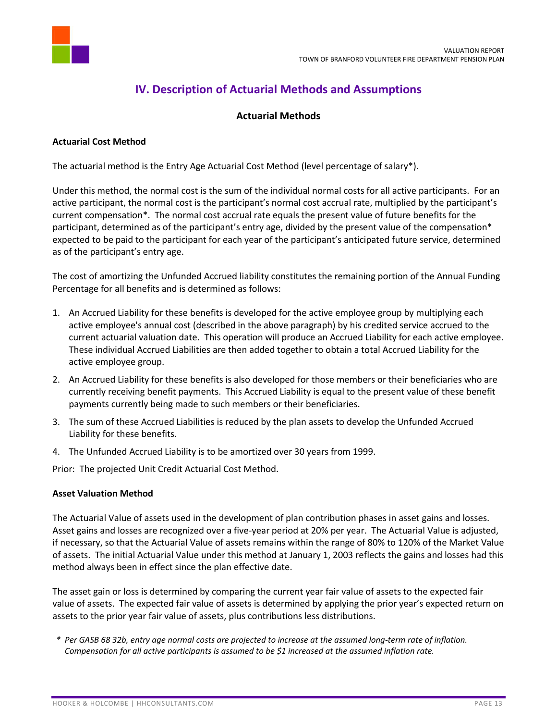

# **IV. Description of Actuarial Methods and Assumptions**

# **Actuarial Methods**

### **Actuarial Cost Method**

The actuarial method is the Entry Age Actuarial Cost Method (level percentage of salary\*).

Under this method, the normal cost is the sum of the individual normal costs for all active participants. For an active participant, the normal cost is the participant's normal cost accrual rate, multiplied by the participant's current compensation\*. The normal cost accrual rate equals the present value of future benefits for the participant, determined as of the participant's entry age, divided by the present value of the compensation\* expected to be paid to the participant for each year of the participant's anticipated future service, determined as of the participant's entry age.

The cost of amortizing the Unfunded Accrued liability constitutes the remaining portion of the Annual Funding Percentage for all benefits and is determined as follows:

- 1. An Accrued Liability for these benefits is developed for the active employee group by multiplying each active employee's annual cost (described in the above paragraph) by his credited service accrued to the current actuarial valuation date. This operation will produce an Accrued Liability for each active employee. These individual Accrued Liabilities are then added together to obtain a total Accrued Liability for the active employee group.
- 2. An Accrued Liability for these benefits is also developed for those members or their beneficiaries who are currently receiving benefit payments. This Accrued Liability is equal to the present value of these benefit payments currently being made to such members or their beneficiaries.
- 3. The sum of these Accrued Liabilities is reduced by the plan assets to develop the Unfunded Accrued Liability for these benefits.
- 4. The Unfunded Accrued Liability is to be amortized over 30 years from 1999.

Prior: The projected Unit Credit Actuarial Cost Method.

### **Asset Valuation Method**

The Actuarial Value of assets used in the development of plan contribution phases in asset gains and losses. Asset gains and losses are recognized over a five-year period at 20% per year. The Actuarial Value is adjusted, if necessary, so that the Actuarial Value of assets remains within the range of 80% to 120% of the Market Value of assets. The initial Actuarial Value under this method at January 1, 2003 reflects the gains and losses had this method always been in effect since the plan effective date.

The asset gain or loss is determined by comparing the current year fair value of assets to the expected fair value of assets. The expected fair value of assets is determined by applying the prior year's expected return on assets to the prior year fair value of assets, plus contributions less distributions.

*\* Per GASB 68 32b, entry age normal costs are projected to increase at the assumed long-term rate of inflation. Compensation for all active participants is assumed to be \$1 increased at the assumed inflation rate.*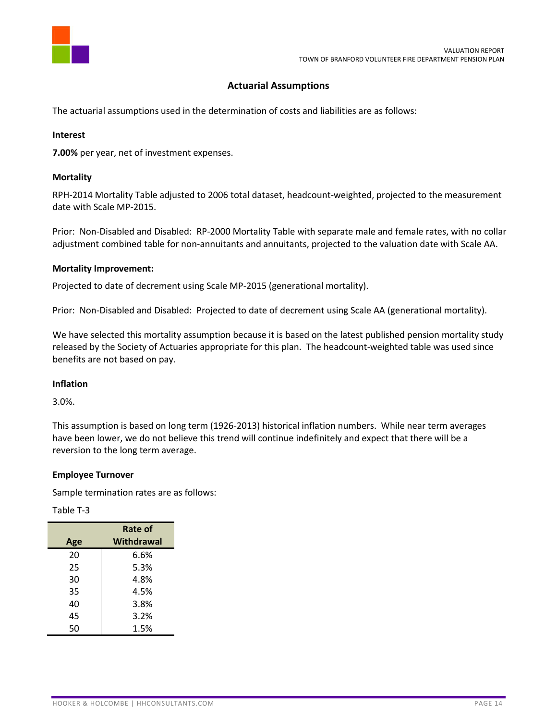

## **Actuarial Assumptions**

The actuarial assumptions used in the determination of costs and liabilities are as follows:

### **Interest**

**7.00%** per year, net of investment expenses.

### **Mortality**

RPH-2014 Mortality Table adjusted to 2006 total dataset, headcount-weighted, projected to the measurement date with Scale MP-2015.

Prior: Non-Disabled and Disabled: RP-2000 Mortality Table with separate male and female rates, with no collar adjustment combined table for non-annuitants and annuitants, projected to the valuation date with Scale AA.

### **Mortality Improvement:**

Projected to date of decrement using Scale MP-2015 (generational mortality).

Prior: Non-Disabled and Disabled: Projected to date of decrement using Scale AA (generational mortality).

We have selected this mortality assumption because it is based on the latest published pension mortality study released by the Society of Actuaries appropriate for this plan. The headcount-weighted table was used since benefits are not based on pay.

#### **Inflation**

3.0%.

This assumption is based on long term (1926-2013) historical inflation numbers. While near term averages have been lower, we do not believe this trend will continue indefinitely and expect that there will be a reversion to the long term average.

#### **Employee Turnover**

Sample termination rates are as follows:

### Table T-3

|     | Rate of    |  |
|-----|------------|--|
| Age | Withdrawal |  |
| 20  | 6.6%       |  |
| 25  | 5.3%       |  |
| 30  | 4.8%       |  |
| 35  | 4.5%       |  |
| 40  | 3.8%       |  |
| 45  | 3.2%       |  |
| 50  | 1.5%       |  |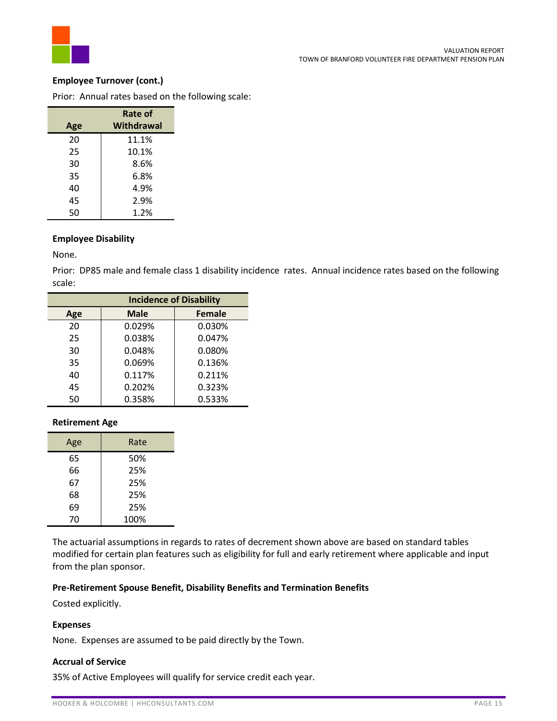

### **Employee Turnover (cont.)**

Prior: Annual rates based on the following scale:

|     | Rate of    |  |
|-----|------------|--|
| Age | Withdrawal |  |
| 20  | 11.1%      |  |
| 25  | 10.1%      |  |
| 30  | 8.6%       |  |
| 35  | 6.8%       |  |
| 40  | 4.9%       |  |
| 45  | 2.9%       |  |
| 50  | 1.2%       |  |

### **Employee Disability**

None.

Prior: DP85 male and female class 1 disability incidence rates. Annual incidence rates based on the following scale:

|     | <b>Incidence of Disability</b> |               |  |
|-----|--------------------------------|---------------|--|
| Age | <b>Male</b>                    | <b>Female</b> |  |
| 20  | 0.029%                         | 0.030%        |  |
| 25  | 0.038%                         | 0.047%        |  |
| 30  | 0.048%                         | 0.080%        |  |
| 35  | 0.069%                         | 0.136%        |  |
| 40  | 0.117%                         | 0.211%        |  |
| 45  | 0.202%                         | 0.323%        |  |
| 50  | 0.358%                         | 0.533%        |  |

### **Retirement Age**

| Age | Rate |
|-----|------|
| 65  | 50%  |
| 66  | 25%  |
| 67  | 25%  |
| 68  | 25%  |
| 69  | 25%  |
| 70  | 100% |

The actuarial assumptions in regards to rates of decrement shown above are based on standard tables modified for certain plan features such as eligibility for full and early retirement where applicable and input from the plan sponsor.

#### **Pre-Retirement Spouse Benefit, Disability Benefits and Termination Benefits**

Costed explicitly.

### **Expenses**

None. Expenses are assumed to be paid directly by the Town.

## **Accrual of Service**

35% of Active Employees will qualify for service credit each year.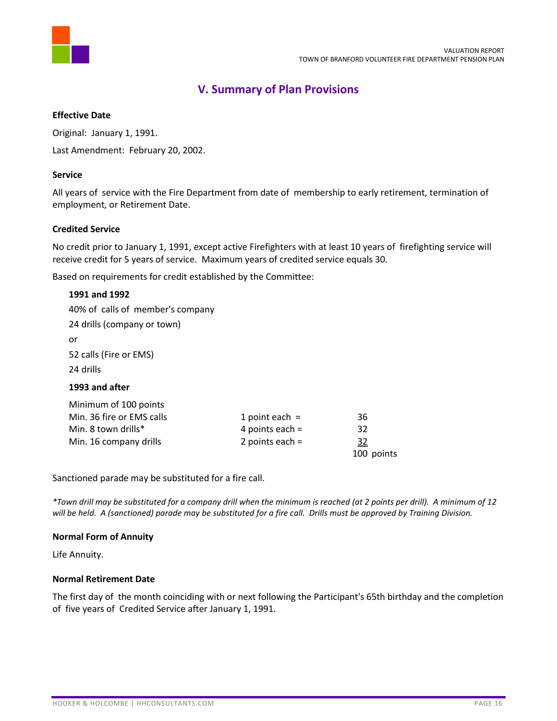

# **V. Summary of Plan Provisions**

### **Effective Date**

Original: January 1, 1991.

Last Amendment: February 20, 2002.

#### **Service**

All years of service with the Fire Department from date of membership to early retirement, termination of employment, or Retirement Date.

#### **Credited Service**

No credit prior to January 1, 1991, except active Firefighters with at least 10 years of firefighting service will receive credit for 5 years of service. Maximum years of credited service equals 30.

Based on requirements for credit established by the Committee:

| 1991 and 1992                    |                   |            |
|----------------------------------|-------------------|------------|
| 40% of calls of member's company |                   |            |
| 24 drills (company or town)      |                   |            |
| or                               |                   |            |
| 52 calls (Fire or EMS)           |                   |            |
| 24 drills                        |                   |            |
| 1993 and after                   |                   |            |
| Minimum of 100 points            |                   |            |
| Min. 36 fire or EMS calls        | 1 point each $=$  | 36         |
| Min. 8 town drills*              | 4 points each $=$ | 32         |
| Min. 16 company drills           | 2 points each $=$ | 32         |
|                                  |                   | 100 points |

Sanctioned parade may be substituted for a fire call.

*\*Town drill may be substituted for a company drill when the minimum is reached (at 2 points per drill). A minimum of 12 will be held. A (sanctioned) parade may be substituted for a fire call. Drills must be approved by Training Division.*

#### **Normal Form of Annuity**

Life Annuity.

#### **Normal Retirement Date**

The first day of the month coinciding with or next following the Participant's 65th birthday and the completion of five years of Credited Service after January 1, 1991.